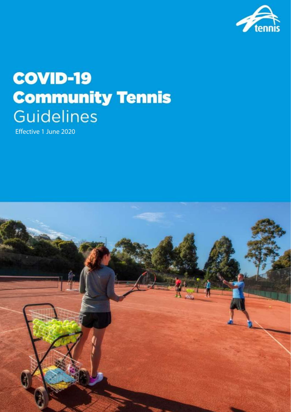

# **COVID-19 Community Tennis Guidelines**

Effective 1 June 2020

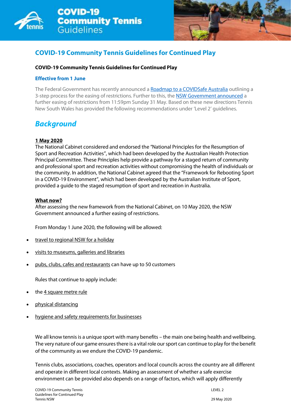



## **COVID-19 Community Tennis Guidelines for Continued Play**

#### **COVID-19 Community Tennis Guidelines for Continued Play**

#### **Effective from 1 June**

The Federal Government has recently announced a [Roadmap to a COVIDSafe Australia](https://www.pm.gov.au/sites/default/files/files/covid-safe-australia-roadmap.pdf) outlining a 3-step process for the easing of restrictions. Further to this, the [NSW Government announced](https://www.nsw.gov.au/news/nsw-to-ease-covid-19-restrictions-from-friday-15-may) a further easing of restrictions from 11:59pm Sunday 31 May. Based on these new directions Tennis New South Wales has provided the following recommendations under 'Level 2' guidelines.

## *Background*

#### **1 May 2020**

The National Cabinet considered and endorsed the "National Principles for the Resumption of Sport and Recreation Activities", which had been developed by the Australian Health Protection Principal Committee. These Principles help provide a pathway for a staged return of community and professional sport and recreation activities without compromising the health of individuals or the community. In addition, the National Cabinet agreed that the "Framework for Rebooting Sport in a COVID-19 Environment", which had been developed by the Australian Institute of Sport, provided a guide to the staged resumption of sport and recreation in Australia.

#### **What now?**

After assessing the new framework from the National Cabinet, on 10 May 2020, the NSW Government announced a further easing of restrictions.

From Monday 1 June 2020, the following will be allowed:

- [travel to regional NSW for a holiday](https://www.nsw.gov.au/news/holiday-travel-restrictions-to-be-lifted-from-1-june-2020)
- [visits to museums, galleries and libraries](https://www.nsw.gov.au/media-releases/museums-galleries-and-libraries-to-reopen-from-1-june-2020)
- [pubs, clubs, cafes and restaurants](https://www.nsw.gov.au/media-releases/nsw-government-to-open-pubs-clubs-cafes-and-restaurants-to-50-patrons) can have up to 50 customers

Rules that continue to apply include:

- th[e 4 square metre rule](https://www.nsw.gov.au/covid-19/what-you-can-and-cant-do-under-rules/four-square-metre-rule)
- [physical distancing](https://www.nsw.gov.au/covid-19/social-distancing)
- [hygiene and safety requirements for businesses](https://www.nsw.gov.au/covid-19/businesses-and-employment/make-your-workplace-covid-safe-old)

We all know tennis is a unique sport with many benefits – the main one being health and wellbeing. The very nature of our game ensures there is a vital role our sport can continue to play for the benefit of the community as we endure the COVID-19 pandemic.

Tennis clubs, associations, coaches, operators and local councils across the country are all different and operate in different local contexts. Making an assessment of whether a safe exercise environment can be provided also depends on a range of factors, which will apply differently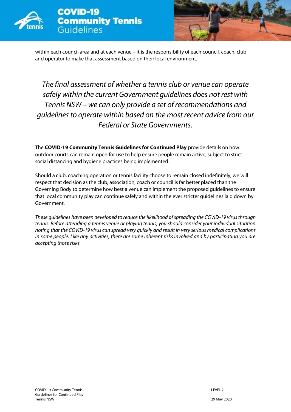



within each council area and at each venue – it is the responsibility of each council, coach, club and operator to make that assessment based on their local environment.

# *The final assessment of whether a tennis club or venue can operate safely within the current Government guidelines does not rest with Tennis NSW – we can only provide a set of recommendations and guidelines to operate within based on the most recent advice from our Federal or State Governments.*

The **COVID-19 Community Tennis Guidelines for Continued Play** provide details on how outdoor courts can remain open for use to help ensure people remain active, subject to strict social distancing and hygiene practices being implemented.

Should a club, coaching operation or tennis facility choose to remain closed indefinitely, we will respect that decision as the club, association, coach or council is far better placed than the Governing Body to determine how best a venue can implement the proposed guidelines to ensure that local community play can continue safely and within the ever stricter guidelines laid down by Government.

*These guidelines have been developed to reduce the likelihood of spreading the COVID-19 virus through tennis. Before attending a tennis venue or playing tennis, you should consider your individual situation noting that the COVID-19 virus can spread very quickly and result in very serious medical complications in some people. Like any activities, there are some inherent risks involved and by participating you are accepting those risks.*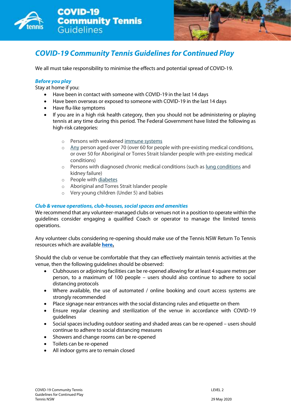



## *COVID-19 Community Tennis Guidelines for Continued Play*

We all must take responsibility to minimise the effects and potential spread of COVID-19.

#### *Before you play*

Stay at home if you:

- Have been in contact with someone with COVID-19 in the last 14 days
- Have been overseas or exposed to someone with COVID-19 in the last 14 days
- Have flu-like symptoms
- If you are in a high risk health category, then you should not be administering or playing tennis at any time during this period. The Federal Government have listed the following as high-risk categories:
	- o Persons with weakened [immune systems](https://www.healthdirect.gov.au/immune-system)
	- o [Any](https://www.healthdirect.gov.au/coronavirus-covid-19-information-for-older-australians-faqs) person aged over 70 (over 60 for people with pre-existing medical conditions, or over 50 for Aboriginal or Torres Strait Islander people with pre-existing medical conditions)
	- o Persons with diagnosed chronic medical conditions (such as [lung conditions](https://www.healthdirect.gov.au/lung-conditions) and kidney failure)
	- o People with [diabetes](https://www.healthdirect.gov.au/diabetes)
	- o Aboriginal and Torres Strait Islander people
	- o Very young children (Under 5) and babies

#### *Club & venue operations, club-houses, social spaces and amenities*

We recommend that any volunteer-managed clubs or venues not in a position to operate within the guidelines consider engaging a qualified Coach or operator to manage the limited tennis operations.

Any volunteer clubs considering re-opening should make use of the Tennis NSW Return To Tennis resources which are available **[here.](https://www.tennis.com.au/nsw/news-and-events/covidresources)**

Should the club or venue be comfortable that they can effectively maintain tennis activities at the venue, then the following guidelines should be observed:

- Clubhouses or adjoining facilities can be re-opened allowing for at least 4 square metres per person, to a maximum of 100 people – users should also continue to adhere to social distancing protocols
- Where available, the use of automated / online booking and court access systems are strongly recommended
- Place signage near entrances with the social distancing rules and etiquette on them
- Ensure regular cleaning and sterilization of the venue in accordance with COVID-19 guidelines
- Social spaces including outdoor seating and shaded areas can be re-opened users should continue to adhere to social distancing measures
- Showers and change rooms can be re-opened
- Toilets can be re-opened
- All indoor gyms are to remain closed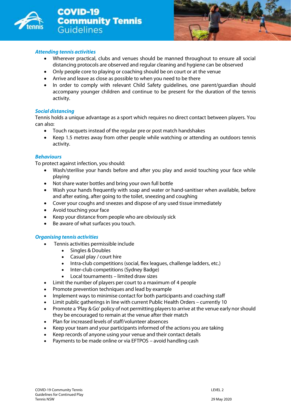



#### *Attending tennis activities*

- Wherever practical, clubs and venues should be manned throughout to ensure all social distancing protocols are observed and regular cleaning and hygiene can be observed
- Only people core to playing or coaching should be on court or at the venue
- Arrive and leave as close as possible to when you need to be there
- In order to comply with relevant Child Safety quidelines, one parent/guardian should accompany younger children and continue to be present for the duration of the tennis activity.

#### *Social distancing*

Tennis holds a unique advantage as a sport which requires no direct contact between players. You can also:

- Touch racquets instead of the regular pre or post match handshakes
- Keep 1.5 metres away from other people while watching or attending an outdoors tennis activity.

#### *Behaviours*

To protect against infection, you should:

- Wash/sterilise your hands before and after you play and avoid touching your face while playing
- Not share water bottles and bring your own full bottle
- Wash your hands frequently with soap and water or hand-sanitiser when available, before and after eating, after going to the toilet, sneezing and coughing
- Cover your coughs and sneezes and dispose of any used tissue immediately
- Avoid touching your face
- Keep your distance from people who are obviously sick
- Be aware of what surfaces you touch.

#### *Organising tennis activities*

- Tennis activities permissible include
	- Singles & Doubles
	- Casual play / court hire
	- Intra-club competitions (social, flex leagues, challenge ladders, etc.)
	- Inter-club competitions (Sydney Badge)
	- Local tournaments limited draw sizes
- Limit the number of players per court to a maximum of 4 people
- Promote prevention techniques and lead by example
- Implement ways to minimise contact for both participants and coaching staff
- Limit public gatherings in line with current Public Health Orders currently 10
- Promote a 'Play & Go' policy of not permitting players to arrive at the venue early nor should they be encouraged to remain at the venue after their match
- Plan for increased levels of staff/volunteer absences
- Keep your team and your participants informed of the actions you are taking
- Keep records of anyone using your venue and their contact details
- Payments to be made online or via EFTPOS avoid handling cash